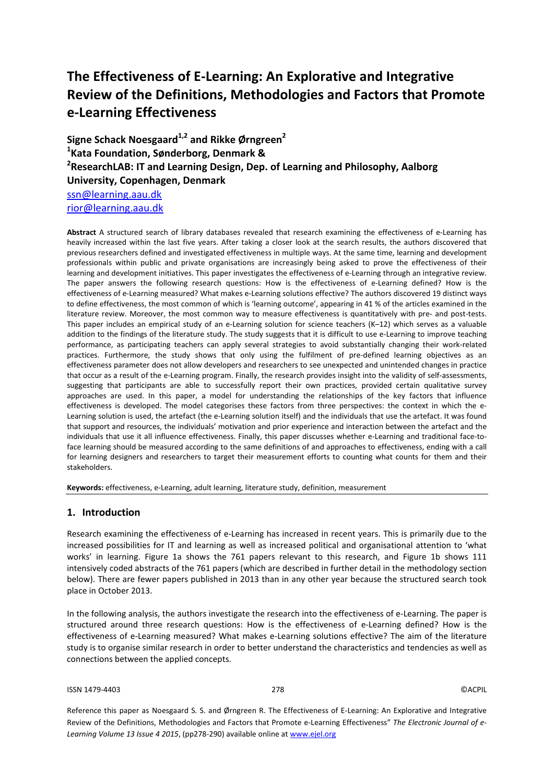# **The Effectiveness of E-Learning: An Explorative and Integrative Review of the Definitions, Methodologies and Factors that Promote e-Learning Effectiveness**

**Signe Schack Noesgaard1,2 and Rikke Ørngreen<sup>2</sup> 1 Kata Foundation, Sønderborg, Denmark & 2 ResearchLAB: IT and Learning Design, Dep. of Learning and Philosophy, Aalborg University, Copenhagen, Denmark** [ssn@learning.aau.dk](mailto:ssn@learning.aau.dk) [rior@learning.aau.dk](mailto:rior@learning.aau.dk)

**Abstract** A structured search of library databases revealed that research examining the effectiveness of e-Learning has heavily increased within the last five years. After taking a closer look at the search results, the authors discovered that previous researchers defined and investigated effectiveness in multiple ways. At the same time, learning and development professionals within public and private organisations are increasingly being asked to prove the effectiveness of their learning and development initiatives. This paper investigates the effectiveness of e-Learning through an integrative review. The paper answers the following research questions: How is the effectiveness of e-Learning defined? How is the effectiveness of e-Learning measured? What makes e-Learning solutions effective? The authors discovered 19 distinct ways to define effectiveness, the most common of which is 'learning outcome', appearing in 41 % of the articles examined in the literature review. Moreover, the most common way to measure effectiveness is quantitatively with pre- and post-tests. This paper includes an empirical study of an e-Learning solution for science teachers (K–12) which serves as a valuable addition to the findings of the literature study. The study suggests that it is difficult to use e-Learning to improve teaching performance, as participating teachers can apply several strategies to avoid substantially changing their work-related practices. Furthermore, the study shows that only using the fulfilment of pre-defined learning objectives as an effectiveness parameter does not allow developers and researchers to see unexpected and unintended changes in practice that occur as a result of the e-Learning program. Finally, the research provides insight into the validity of self-assessments, suggesting that participants are able to successfully report their own practices, provided certain qualitative survey approaches are used. In this paper, a model for understanding the relationships of the key factors that influence effectiveness is developed. The model categorises these factors from three perspectives: the context in which the e-Learning solution is used, the artefact (the e-Learning solution itself) and the individuals that use the artefact. It was found that support and resources, the individuals' motivation and prior experience and interaction between the artefact and the individuals that use it all influence effectiveness. Finally, this paper discusses whether e-Learning and traditional face-toface learning should be measured according to the same definitions of and approaches to effectiveness, ending with a call for learning designers and researchers to target their measurement efforts to counting what counts for them and their stakeholders.

**Keywords:** effectiveness, e-Learning, adult learning, literature study, definition, measurement

#### **1. Introduction**

Research examining the effectiveness of e-Learning has increased in recent years. This is primarily due to the increased possibilities for IT and learning as well as increased political and organisational attention to 'what works' in learning. Figure 1a shows the 761 papers relevant to this research, and Figure 1b shows 111 intensively coded abstracts of the 761 papers (which are described in further detail in the methodology section below). There are fewer papers published in 2013 than in any other year because the structured search took place in October 2013.

In the following analysis, the authors investigate the research into the effectiveness of e-Learning. The paper is structured around three research questions: How is the effectiveness of e-Learning defined? How is the effectiveness of e-Learning measured? What makes e-Learning solutions effective? The aim of the literature study is to organise similar research in order to better understand the characteristics and tendencies as well as connections between the applied concepts.

#### ISSN 1479-4403 278 ©ACPIL

Reference this paper as Noesgaard S. S. and Ørngreen R. The Effectiveness of E-Learning: An Explorative and Integrative Review of the Definitions, Methodologies and Factors that Promote e-Learning Effectiveness" *The Electronic Journal of e-Learning Volume 13 Issue 4 2015*, (pp278-290) available online at www.ejel.org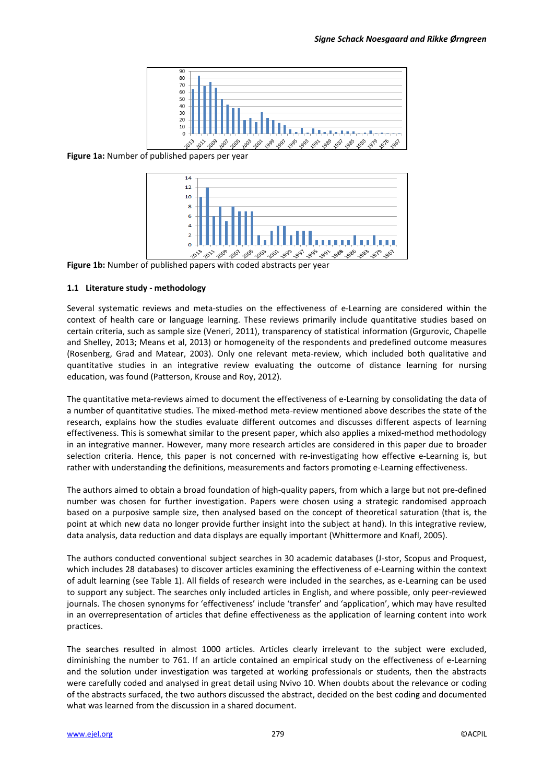

**Figure 1a:** Number of published papers per year



**Figure 1b:** Number of published papers with coded abstracts per year

#### **1.1 Literature study - methodology**

Several systematic reviews and meta-studies on the effectiveness of e-Learning are considered within the context of health care or language learning. These reviews primarily include quantitative studies based on certain criteria, such as sample size (Veneri, 2011), transparency of statistical information (Grgurovic, Chapelle and Shelley, 2013; Means et al, 2013) or homogeneity of the respondents and predefined outcome measures (Rosenberg, Grad and Matear, 2003). Only one relevant meta-review, which included both qualitative and quantitative studies in an integrative review evaluating the outcome of distance learning for nursing education, was found (Patterson, Krouse and Roy, 2012).

The quantitative meta-reviews aimed to document the effectiveness of e-Learning by consolidating the data of a number of quantitative studies. The mixed-method meta-review mentioned above describes the state of the research, explains how the studies evaluate different outcomes and discusses different aspects of learning effectiveness. This is somewhat similar to the present paper, which also applies a mixed-method methodology in an integrative manner. However, many more research articles are considered in this paper due to broader selection criteria. Hence, this paper is not concerned with re-investigating how effective e-Learning is, but rather with understanding the definitions, measurements and factors promoting e-Learning effectiveness.

The authors aimed to obtain a broad foundation of high-quality papers, from which a large but not pre-defined number was chosen for further investigation. Papers were chosen using a strategic randomised approach based on a purposive sample size, then analysed based on the concept of theoretical saturation (that is, the point at which new data no longer provide further insight into the subject at hand). In this integrative review, data analysis, data reduction and data displays are equally important (Whittermore and Knafl, 2005).

The authors conducted conventional subject searches in 30 academic databases (J-stor, Scopus and Proquest, which includes 28 databases) to discover articles examining the effectiveness of e-Learning within the context of adult learning (see Table 1). All fields of research were included in the searches, as e-Learning can be used to support any subject. The searches only included articles in English, and where possible, only peer-reviewed journals. The chosen synonyms for 'effectiveness' include 'transfer' and 'application', which may have resulted in an overrepresentation of articles that define effectiveness as the application of learning content into work practices.

The searches resulted in almost 1000 articles. Articles clearly irrelevant to the subject were excluded, diminishing the number to 761. If an article contained an empirical study on the effectiveness of e-Learning and the solution under investigation was targeted at working professionals or students, then the abstracts were carefully coded and analysed in great detail using Nvivo 10. When doubts about the relevance or coding of the abstracts surfaced, the two authors discussed the abstract, decided on the best coding and documented what was learned from the discussion in a shared document.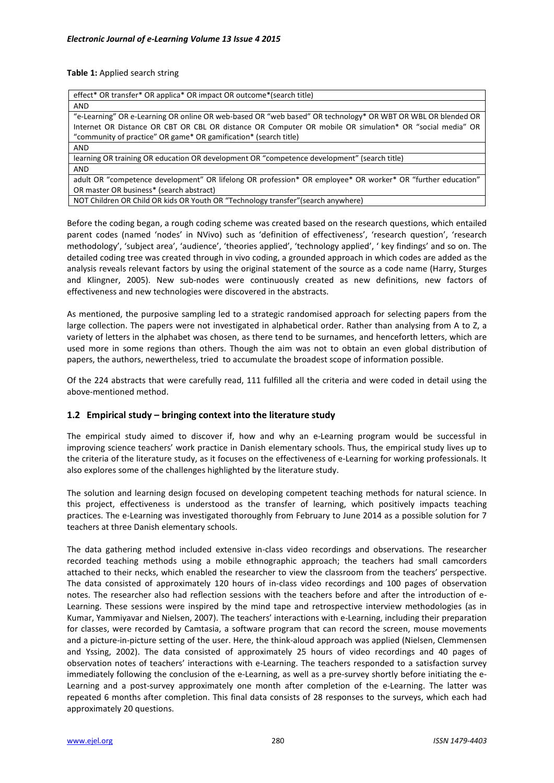**Table 1:** Applied search string

| effect* OR transfer* OR applica* OR impact OR outcome* (search title)                                       |
|-------------------------------------------------------------------------------------------------------------|
| <b>AND</b>                                                                                                  |
| e-Learning" OR e-Learning OR online OR web-based OR "web based" OR technology* OR WBT OR WBL OR blended OR" |
| Internet OR Distance OR CBT OR CBL OR distance OR Computer OR mobile OR simulation* OR "social media" OR    |
| "community of practice" OR game* OR gamification* (search title)                                            |
| <b>AND</b>                                                                                                  |
| learning OR training OR education OR development OR "competence development" (search title)                 |
| <b>AND</b>                                                                                                  |
| adult OR "competence development" OR lifelong OR profession* OR employee* OR worker* OR "further education" |
| OR master OR business* (search abstract)                                                                    |
|                                                                                                             |

NOT Children OR Child OR kids OR Youth OR "Technology transfer"(search anywhere)

Before the coding began, a rough coding scheme was created based on the research questions, which entailed parent codes (named 'nodes' in NVivo) such as 'definition of effectiveness', 'research question', 'research methodology', 'subject area', 'audience', 'theories applied', 'technology applied', ' key findings' and so on. The detailed coding tree was created through in vivo coding, a grounded approach in which codes are added as the analysis reveals relevant factors by using the original statement of the source as a code name (Harry, Sturges and Klingner, 2005). New sub-nodes were continuously created as new definitions, new factors of effectiveness and new technologies were discovered in the abstracts.

As mentioned, the purposive sampling led to a strategic randomised approach for selecting papers from the large collection. The papers were not investigated in alphabetical order. Rather than analysing from A to Z, a variety of letters in the alphabet was chosen, as there tend to be surnames, and henceforth letters, which are used more in some regions than others. Though the aim was not to obtain an even global distribution of papers, the authors, newertheless, tried to accumulate the broadest scope of information possible.

Of the 224 abstracts that were carefully read, 111 fulfilled all the criteria and were coded in detail using the above-mentioned method.

# **1.2 Empirical study – bringing context into the literature study**

The empirical study aimed to discover if, how and why an e-Learning program would be successful in improving science teachers' work practice in Danish elementary schools. Thus, the empirical study lives up to the criteria of the literature study, as it focuses on the effectiveness of e-Learning for working professionals. It also explores some of the challenges highlighted by the literature study.

The solution and learning design focused on developing competent teaching methods for natural science. In this project, effectiveness is understood as the transfer of learning, which positively impacts teaching practices. The e-Learning was investigated thoroughly from February to June 2014 as a possible solution for 7 teachers at three Danish elementary schools.

The data gathering method included extensive in-class video recordings and observations. The researcher recorded teaching methods using a mobile ethnographic approach; the teachers had small camcorders attached to their necks, which enabled the researcher to view the classroom from the teachers' perspective. The data consisted of approximately 120 hours of in-class video recordings and 100 pages of observation notes. The researcher also had reflection sessions with the teachers before and after the introduction of e-Learning. These sessions were inspired by the mind tape and retrospective interview methodologies (as in Kumar, Yammiyavar and Nielsen, 2007). The teachers' interactions with e-Learning, including their preparation for classes, were recorded by Camtasia, a software program that can record the screen, mouse movements and a picture-in-picture setting of the user. Here, the think-aloud approach was applied (Nielsen, Clemmensen and Yssing, 2002). The data consisted of approximately 25 hours of video recordings and 40 pages of observation notes of teachers' interactions with e-Learning. The teachers responded to a satisfaction survey immediately following the conclusion of the e-Learning, as well as a pre-survey shortly before initiating the e-Learning and a post-survey approximately one month after completion of the e-Learning. The latter was repeated 6 months after completion. This final data consists of 28 responses to the surveys, which each had approximately 20 questions.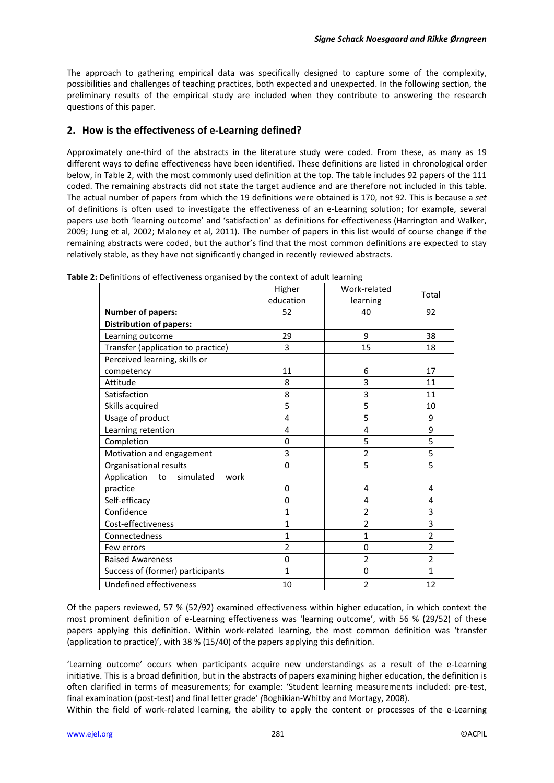The approach to gathering empirical data was specifically designed to capture some of the complexity, possibilities and challenges of teaching practices, both expected and unexpected. In the following section, the preliminary results of the empirical study are included when they contribute to answering the research questions of this paper.

# **2. How is the effectiveness of e-Learning defined?**

Approximately one-third of the abstracts in the literature study were coded. From these, as many as 19 different ways to define effectiveness have been identified. These definitions are listed in chronological order below, in Table 2, with the most commonly used definition at the top. The table includes 92 papers of the 111 coded. The remaining abstracts did not state the target audience and are therefore not included in this table. The actual number of papers from which the 19 definitions were obtained is 170, not 92. This is because a *set* of definitions is often used to investigate the effectiveness of an e-Learning solution; for example, several papers use both 'learning outcome' and 'satisfaction' as definitions for effectiveness (Harrington and Walker, 2009; Jung et al, 2002; Maloney et al, 2011). The number of papers in this list would of course change if the remaining abstracts were coded, but the author's find that the most common definitions are expected to stay relatively stable, as they have not significantly changed in recently reviewed abstracts.

|                                        | Higher         | Work-related   | Total          |
|----------------------------------------|----------------|----------------|----------------|
|                                        | education      | learning       |                |
| <b>Number of papers:</b>               | 52             | 40             | 92             |
| <b>Distribution of papers:</b>         |                |                |                |
| Learning outcome                       | 29             | 9              | 38             |
| Transfer (application to practice)     | 3              | 15             | 18             |
| Perceived learning, skills or          |                |                |                |
| competency                             | 11             | 6              | 17             |
| Attitude                               | 8              | 3              | 11             |
| Satisfaction                           | 8              | 3              | 11             |
| Skills acquired                        | 5              | 5              | 10             |
| Usage of product                       | 4              | 5              | 9              |
| Learning retention                     | 4              | 4              | 9              |
| Completion                             | 0              | 5              | 5              |
| Motivation and engagement              | 3              | $\overline{2}$ | 5              |
| Organisational results                 | 0              | 5              | 5              |
| simulated<br>Application<br>to<br>work |                |                |                |
| practice                               | 0              | 4              | 4              |
| Self-efficacy                          | 0              | 4              | $\overline{a}$ |
| Confidence                             | 1              | $\overline{2}$ | 3              |
| Cost-effectiveness                     | $\mathbf{1}$   | $\overline{2}$ | 3              |
| Connectedness                          | $\mathbf{1}$   | $\mathbf{1}$   | $\overline{2}$ |
| Few errors                             | $\overline{2}$ | 0              | $\overline{2}$ |
| <b>Raised Awareness</b>                | 0              | $\overline{2}$ | $\overline{2}$ |
| Success of (former) participants       | $\mathbf{1}$   | 0              | $\mathbf{1}$   |
| Undefined effectiveness                | 10             | $\overline{2}$ | 12             |

**Table 2:** Definitions of effectiveness organised by the context of adult learning

Of the papers reviewed, 57 % (52/92) examined effectiveness within higher education, in which context the most prominent definition of e-Learning effectiveness was 'learning outcome', with 56 % (29/52) of these papers applying this definition. Within work-related learning, the most common definition was 'transfer (application to practice)', with 38 % (15/40) of the papers applying this definition.

'Learning outcome' occurs when participants acquire new understandings as a result of the e-Learning initiative. This is a broad definition, but in the abstracts of papers examining higher education, the definition is often clarified in terms of measurements; for example: 'Student learning measurements included: pre-test, final examination (post-test) and final letter grade' *(*Boghikian-Whitby and Mortagy, 2008).

Within the field of work-related learning, the ability to apply the content or processes of the e-Learning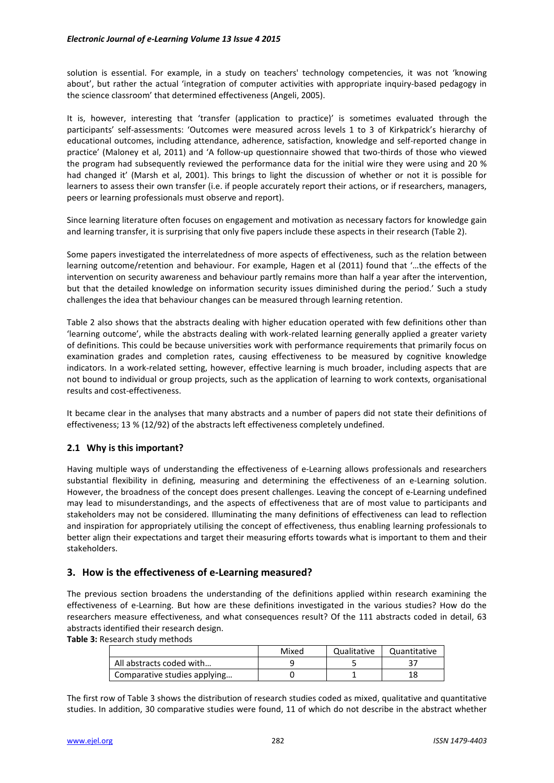solution is essential. For example, in a study on teachers' technology competencies, it was not 'knowing about', but rather the actual 'integration of computer activities with appropriate inquiry-based pedagogy in the science classroom' that determined effectiveness (Angeli, 2005).

It is, however, interesting that 'transfer (application to practice)' is sometimes evaluated through the participants' self-assessments: 'Outcomes were measured across levels 1 to 3 of Kirkpatrick's hierarchy of educational outcomes, including attendance, adherence, satisfaction, knowledge and self-reported change in practice' (Maloney et al, 2011) and 'A follow-up questionnaire showed that two-thirds of those who viewed the program had subsequently reviewed the performance data for the initial wire they were using and 20 % had changed it' (Marsh et al, 2001). This brings to light the discussion of whether or not it is possible for learners to assess their own transfer (i.e. if people accurately report their actions, or if researchers, managers, peers or learning professionals must observe and report).

Since learning literature often focuses on engagement and motivation as necessary factors for knowledge gain and learning transfer, it is surprising that only five papers include these aspects in their research (Table 2).

Some papers investigated the interrelatedness of more aspects of effectiveness, such as the relation between learning outcome/retention and behaviour. For example, Hagen et al (2011) found that '…the effects of the intervention on security awareness and behaviour partly remains more than half a year after the intervention, but that the detailed knowledge on information security issues diminished during the period.' Such a study challenges the idea that behaviour changes can be measured through learning retention.

Table 2 also shows that the abstracts dealing with higher education operated with few definitions other than 'learning outcome', while the abstracts dealing with work-related learning generally applied a greater variety of definitions. This could be because universities work with performance requirements that primarily focus on examination grades and completion rates, causing effectiveness to be measured by cognitive knowledge indicators. In a work-related setting, however, effective learning is much broader, including aspects that are not bound to individual or group projects, such as the application of learning to work contexts, organisational results and cost-effectiveness.

It became clear in the analyses that many abstracts and a number of papers did not state their definitions of effectiveness; 13 % (12/92) of the abstracts left effectiveness completely undefined.

# **2.1 Why is this important?**

Having multiple ways of understanding the effectiveness of e-Learning allows professionals and researchers substantial flexibility in defining, measuring and determining the effectiveness of an e-Learning solution. However, the broadness of the concept does present challenges. Leaving the concept of e-Learning undefined may lead to misunderstandings, and the aspects of effectiveness that are of most value to participants and stakeholders may not be considered. Illuminating the many definitions of effectiveness can lead to reflection and inspiration for appropriately utilising the concept of effectiveness, thus enabling learning professionals to better align their expectations and target their measuring efforts towards what is important to them and their stakeholders.

# **3. How is the effectiveness of e-Learning measured?**

The previous section broadens the understanding of the definitions applied within research examining the effectiveness of e-Learning. But how are these definitions investigated in the various studies? How do the researchers measure effectiveness, and what consequences result? Of the 111 abstracts coded in detail, 63 abstracts identified their research design.

**Table 3:** Research study methods

|                              | Mixed | Qualitative | Quantitative |
|------------------------------|-------|-------------|--------------|
| All abstracts coded with     |       |             |              |
| Comparative studies applying |       |             | 18           |

The first row of Table 3 shows the distribution of research studies coded as mixed, qualitative and quantitative studies. In addition, 30 comparative studies were found, 11 of which do not describe in the abstract whether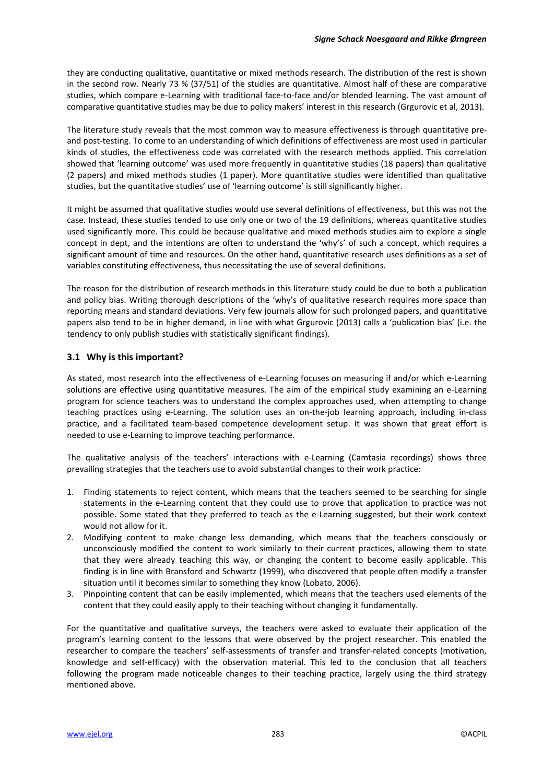they are conducting qualitative, quantitative or mixed methods research. The distribution of the rest is shown in the second row. Nearly 73 % (37/51) of the studies are quantitative. Almost half of these are comparative studies, which compare e-Learning with traditional face-to-face and/or blended learning. The vast amount of comparative quantitative studies may be due to policy makers' interest in this research (Grgurovic et al, 2013).

The literature study reveals that the most common way to measure effectiveness is through quantitative preand post-testing. To come to an understanding of which definitions of effectiveness are most used in particular kinds of studies, the effectiveness code was correlated with the research methods applied. This correlation showed that 'learning outcome' was used more frequently in quantitative studies (18 papers) than qualitative (2 papers) and mixed methods studies (1 paper). More quantitative studies were identified than qualitative studies, but the quantitative studies' use of 'learning outcome' is still significantly higher.

It might be assumed that qualitative studies would use several definitions of effectiveness, but this was not the case. Instead, these studies tended to use only one or two of the 19 definitions, whereas quantitative studies used significantly more. This could be because qualitative and mixed methods studies aim to explore a single concept in dept, and the intentions are often to understand the 'why's' of such a concept, which requires a significant amount of time and resources. On the other hand, quantitative research uses definitions as a set of variables constituting effectiveness, thus necessitating the use of several definitions.

The reason for the distribution of research methods in this literature study could be due to both a publication and policy bias. Writing thorough descriptions of the 'why's of qualitative research requires more space than reporting means and standard deviations. Very few journals allow for such prolonged papers, and quantitative papers also tend to be in higher demand, in line with what Grgurovic (2013) calls a 'publication bias' (i.e. the tendency to only publish studies with statistically significant findings).

### **3.1 Why is this important?**

As stated, most research into the effectiveness of e-Learning focuses on measuring if and/or which e-Learning solutions are effective using quantitative measures. The aim of the empirical study examining an e-Learning program for science teachers was to understand the complex approaches used, when attempting to change teaching practices using e-Learning. The solution uses an on-the-job learning approach, including in-class practice, and a facilitated team-based competence development setup. It was shown that great effort is needed to use e-Learning to improve teaching performance.

The qualitative analysis of the teachers' interactions with e-Learning (Camtasia recordings) shows three prevailing strategies that the teachers use to avoid substantial changes to their work practice:

- 1. Finding statements to reject content, which means that the teachers seemed to be searching for single statements in the e-Learning content that they could use to prove that application to practice was not possible. Some stated that they preferred to teach as the e-Learning suggested, but their work context would not allow for it.
- 2. Modifying content to make change less demanding, which means that the teachers consciously or unconsciously modified the content to work similarly to their current practices, allowing them to state that they were already teaching this way, or changing the content to become easily applicable. This finding is in line with Bransford and Schwartz (1999), who discovered that people often modify a transfer situation until it becomes similar to something they know (Lobato, 2006).
- 3. Pinpointing content that can be easily implemented, which means that the teachers used elements of the content that they could easily apply to their teaching without changing it fundamentally.

For the quantitative and qualitative surveys, the teachers were asked to evaluate their application of the program's learning content to the lessons that were observed by the project researcher. This enabled the researcher to compare the teachers' self-assessments of transfer and transfer-related concepts (motivation, knowledge and self-efficacy) with the observation material. This led to the conclusion that all teachers following the program made noticeable changes to their teaching practice, largely using the third strategy mentioned above.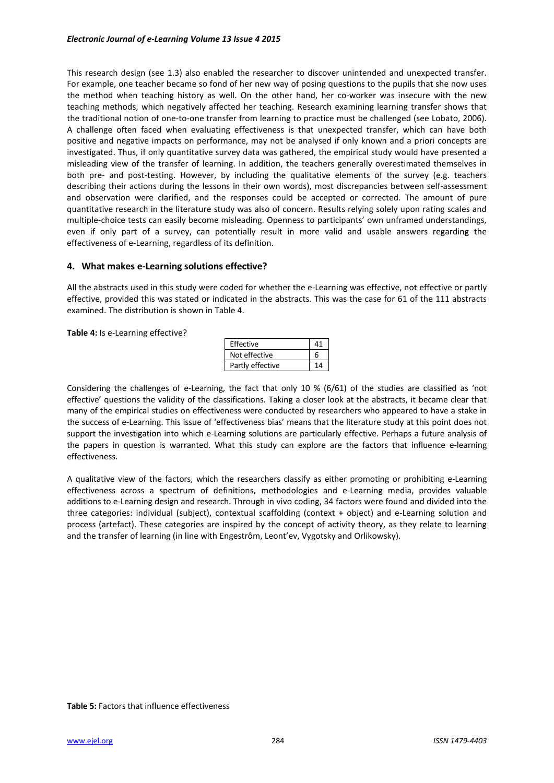This research design (see 1.3) also enabled the researcher to discover unintended and unexpected transfer. For example, one teacher became so fond of her new way of posing questions to the pupils that she now uses the method when teaching history as well. On the other hand, her co-worker was insecure with the new teaching methods, which negatively affected her teaching. Research examining learning transfer shows that the traditional notion of one-to-one transfer from learning to practice must be challenged (see Lobato, 2006). A challenge often faced when evaluating effectiveness is that unexpected transfer, which can have both positive and negative impacts on performance, may not be analysed if only known and a priori concepts are investigated. Thus, if only quantitative survey data was gathered, the empirical study would have presented a misleading view of the transfer of learning. In addition, the teachers generally overestimated themselves in both pre- and post-testing. However, by including the qualitative elements of the survey (e.g. teachers describing their actions during the lessons in their own words), most discrepancies between self-assessment and observation were clarified, and the responses could be accepted or corrected. The amount of pure quantitative research in the literature study was also of concern. Results relying solely upon rating scales and multiple-choice tests can easily become misleading. Openness to participants' own unframed understandings, even if only part of a survey, can potentially result in more valid and usable answers regarding the effectiveness of e-Learning, regardless of its definition.

### **4. What makes e-Learning solutions effective?**

All the abstracts used in this study were coded for whether the e-Learning was effective, not effective or partly effective, provided this was stated or indicated in the abstracts. This was the case for 61 of the 111 abstracts examined. The distribution is shown in Table 4.

**Table 4:** Is e-Learning effective?

| Effective        |  |
|------------------|--|
| Not effective    |  |
| Partly effective |  |

Considering the challenges of e-Learning, the fact that only 10 % (6/61) of the studies are classified as 'not effective' questions the validity of the classifications. Taking a closer look at the abstracts, it became clear that many of the empirical studies on effectiveness were conducted by researchers who appeared to have a stake in the success of e-Learning. This issue of 'effectiveness bias' means that the literature study at this point does not support the investigation into which e-Learning solutions are particularly effective. Perhaps a future analysis of the papers in question is warranted. What this study can explore are the factors that influence e-learning effectiveness.

A qualitative view of the factors, which the researchers classify as either promoting or prohibiting e-Learning effectiveness across a spectrum of definitions, methodologies and e-Learning media, provides valuable additions to e-Learning design and research. Through in vivo coding, 34 factors were found and divided into the three categories: individual (subject), contextual scaffolding (context + object) and e-Learning solution and process (artefact). These categories are inspired by the concept of activity theory, as they relate to learning and the transfer of learning (in line with Engestrôm, Leont'ev, Vygotsky and Orlikowsky).

#### **Table 5:** Factors that influence effectiveness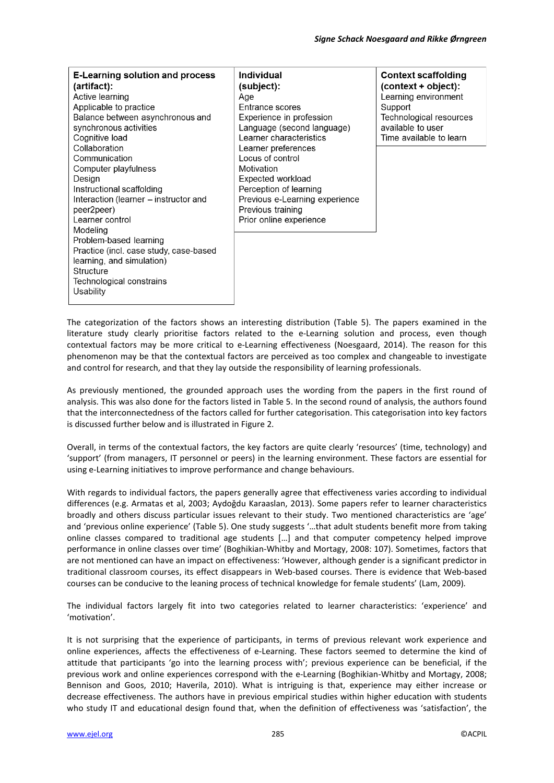| <b>E-Learning solution and process</b><br>(artifact):<br>Active learning<br>Applicable to practice<br>Balance between asynchronous and<br>synchronous activities<br>Cognitive load<br>Collaboration<br>Communication<br>Computer playfulness<br>Design<br>Instructional scaffolding<br>Interaction (learner – instructor and<br>peer2peer)<br>Learner control<br>Modeling<br>Problem-based learning<br>Practice (incl. case study, case-based<br>learning, and simulation)<br>Structure<br>Technological constrains<br>Usability | Individual<br>(subject):<br>Age<br>Entrance scores<br>Experience in profession<br>Language (second language)<br>Learner characteristics<br>Learner preferences<br>Locus of control<br>Motivation<br>Expected workload<br>Perception of learning<br>Previous e-Learning experience<br>Previous training<br>Prior online experience | <b>Context scaffolding</b><br>$(context + object):$<br>Learning environment<br>Support<br>Technological resources<br>available to user<br>Time available to learn |
|----------------------------------------------------------------------------------------------------------------------------------------------------------------------------------------------------------------------------------------------------------------------------------------------------------------------------------------------------------------------------------------------------------------------------------------------------------------------------------------------------------------------------------|-----------------------------------------------------------------------------------------------------------------------------------------------------------------------------------------------------------------------------------------------------------------------------------------------------------------------------------|-------------------------------------------------------------------------------------------------------------------------------------------------------------------|
|----------------------------------------------------------------------------------------------------------------------------------------------------------------------------------------------------------------------------------------------------------------------------------------------------------------------------------------------------------------------------------------------------------------------------------------------------------------------------------------------------------------------------------|-----------------------------------------------------------------------------------------------------------------------------------------------------------------------------------------------------------------------------------------------------------------------------------------------------------------------------------|-------------------------------------------------------------------------------------------------------------------------------------------------------------------|

The categorization of the factors shows an interesting distribution (Table 5). The papers examined in the literature study clearly prioritise factors related to the e-Learning solution and process, even though contextual factors may be more critical to e-Learning effectiveness (Noesgaard, 2014). The reason for this phenomenon may be that the contextual factors are perceived as too complex and changeable to investigate and control for research, and that they lay outside the responsibility of learning professionals.

As previously mentioned, the grounded approach uses the wording from the papers in the first round of analysis. This was also done for the factors listed in Table 5. In the second round of analysis, the authors found that the interconnectedness of the factors called for further categorisation. This categorisation into key factors is discussed further below and is illustrated in Figure 2.

Overall, in terms of the contextual factors, the key factors are quite clearly 'resources' (time, technology) and 'support' (from managers, IT personnel or peers) in the learning environment. These factors are essential for using e-Learning initiatives to improve performance and change behaviours.

With regards to individual factors, the papers generally agree that effectiveness varies according to individual differences (e.g. Armatas et al, 2003; Aydoğdu Karaaslan, 2013). Some papers refer to learner characteristics broadly and others discuss particular issues relevant to their study. Two mentioned characteristics are 'age' and 'previous online experience' (Table 5). One study suggests '…that adult students benefit more from taking online classes compared to traditional age students […] and that computer competency helped improve performance in online classes over time' (Boghikian-Whitby and Mortagy, 2008: 107). Sometimes, factors that are not mentioned can have an impact on effectiveness: 'However, although gender is a significant predictor in traditional classroom courses, its effect disappears in Web-based courses. There is evidence that Web-based courses can be conducive to the leaning process of technical knowledge for female students' (Lam, 2009)*.* 

The individual factors largely fit into two categories related to learner characteristics: 'experience' and 'motivation'.

It is not surprising that the experience of participants, in terms of previous relevant work experience and online experiences, affects the effectiveness of e-Learning. These factors seemed to determine the kind of attitude that participants 'go into the learning process with'; previous experience can be beneficial, if the previous work and online experiences correspond with the e-Learning (Boghikian-Whitby and Mortagy, 2008; Bennison and Goos, 2010; Haverila, 2010). What is intriguing is that, experience may either increase or decrease effectiveness. The authors have in previous empirical studies within higher education with students who study IT and educational design found that, when the definition of effectiveness was 'satisfaction', the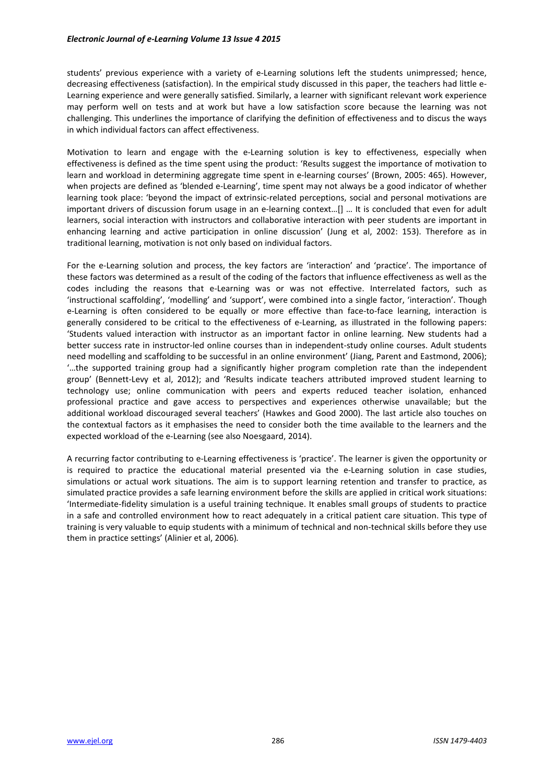students' previous experience with a variety of e-Learning solutions left the students unimpressed; hence, decreasing effectiveness (satisfaction). In the empirical study discussed in this paper, the teachers had little e-Learning experience and were generally satisfied. Similarly, a learner with significant relevant work experience may perform well on tests and at work but have a low satisfaction score because the learning was not challenging. This underlines the importance of clarifying the definition of effectiveness and to discus the ways in which individual factors can affect effectiveness.

Motivation to learn and engage with the e-Learning solution is key to effectiveness, especially when effectiveness is defined as the time spent using the product: 'Results suggest the importance of motivation to learn and workload in determining aggregate time spent in e-learning courses' (Brown, 2005: 465). However, when projects are defined as 'blended e-Learning', time spent may not always be a good indicator of whether learning took place: 'beyond the impact of extrinsic-related perceptions, social and personal motivations are important drivers of discussion forum usage in an e-learning context…[] … It is concluded that even for adult learners, social interaction with instructors and collaborative interaction with peer students are important in enhancing learning and active participation in online discussion' (Jung et al, 2002: 153). Therefore as in traditional learning, motivation is not only based on individual factors.

For the e-Learning solution and process, the key factors are 'interaction' and 'practice'. The importance of these factors was determined as a result of the coding of the factors that influence effectiveness as well as the codes including the reasons that e-Learning was or was not effective. Interrelated factors, such as 'instructional scaffolding', 'modelling' and 'support', were combined into a single factor, 'interaction'. Though e-Learning is often considered to be equally or more effective than face-to-face learning, interaction is generally considered to be critical to the effectiveness of e-Learning, as illustrated in the following papers: 'Students valued interaction with instructor as an important factor in online learning. New students had a better success rate in instructor-led online courses than in independent-study online courses. Adult students need modelling and scaffolding to be successful in an online environment' (Jiang, Parent and Eastmond, 2006); '…the supported training group had a significantly higher program completion rate than the independent group' (Bennett-Levy et al, 2012); and 'Results indicate teachers attributed improved student learning to technology use; online communication with peers and experts reduced teacher isolation, enhanced professional practice and gave access to perspectives and experiences otherwise unavailable; but the additional workload discouraged several teachers' (Hawkes and Good 2000). The last article also touches on the contextual factors as it emphasises the need to consider both the time available to the learners and the expected workload of the e-Learning (see also Noesgaard, 2014).

A recurring factor contributing to e-Learning effectiveness is 'practice'. The learner is given the opportunity or is required to practice the educational material presented via the e-Learning solution in case studies, simulations or actual work situations. The aim is to support learning retention and transfer to practice, as simulated practice provides a safe learning environment before the skills are applied in critical work situations: 'Intermediate-fidelity simulation is a useful training technique. It enables small groups of students to practice in a safe and controlled environment how to react adequately in a critical patient care situation. This type of training is very valuable to equip students with a minimum of technical and non-technical skills before they use them in practice settings' (Alinier et al, 2006)*.*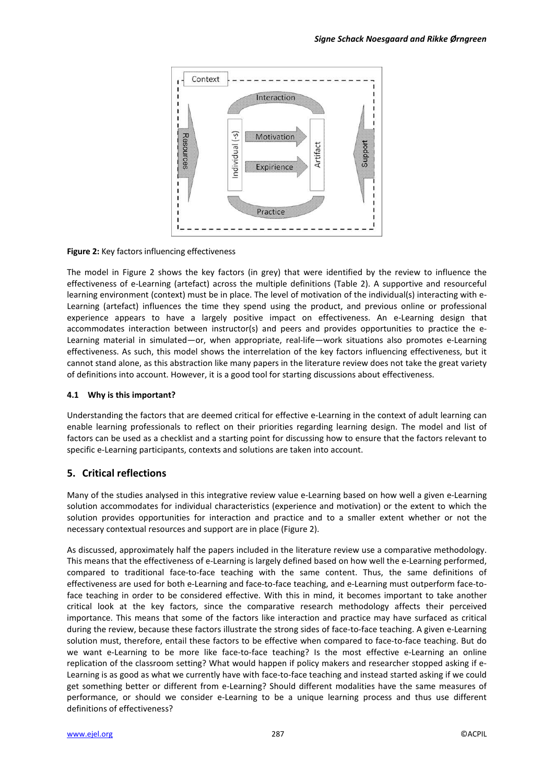

**Figure 2:** Key factors influencing effectiveness

The model in Figure 2 shows the key factors (in grey) that were identified by the review to influence the effectiveness of e-Learning (artefact) across the multiple definitions (Table 2). A supportive and resourceful learning environment (context) must be in place. The level of motivation of the individual(s) interacting with e-Learning (artefact) influences the time they spend using the product, and previous online or professional experience appears to have a largely positive impact on effectiveness. An e-Learning design that accommodates interaction between instructor(s) and peers and provides opportunities to practice the e-Learning material in simulated—or, when appropriate, real-life—work situations also promotes e-Learning effectiveness. As such, this model shows the interrelation of the key factors influencing effectiveness, but it cannot stand alone, as this abstraction like many papers in the literature review does not take the great variety of definitions into account. However, it is a good tool for starting discussions about effectiveness.

#### **4.1 Why is this important?**

Understanding the factors that are deemed critical for effective e-Learning in the context of adult learning can enable learning professionals to reflect on their priorities regarding learning design. The model and list of factors can be used as a checklist and a starting point for discussing how to ensure that the factors relevant to specific e-Learning participants, contexts and solutions are taken into account.

# **5. Critical reflections**

Many of the studies analysed in this integrative review value e-Learning based on how well a given e-Learning solution accommodates for individual characteristics (experience and motivation) or the extent to which the solution provides opportunities for interaction and practice and to a smaller extent whether or not the necessary contextual resources and support are in place (Figure 2).

As discussed, approximately half the papers included in the literature review use a comparative methodology. This means that the effectiveness of e-Learning is largely defined based on how well the e-Learning performed, compared to traditional face-to-face teaching with the same content. Thus, the same definitions of effectiveness are used for both e-Learning and face-to-face teaching, and e-Learning must outperform face-toface teaching in order to be considered effective. With this in mind, it becomes important to take another critical look at the key factors, since the comparative research methodology affects their perceived importance. This means that some of the factors like interaction and practice may have surfaced as critical during the review, because these factors illustrate the strong sides of face-to-face teaching. A given e-Learning solution must, therefore, entail these factors to be effective when compared to face-to-face teaching. But do we want e-Learning to be more like face-to-face teaching? Is the most effective e-Learning an online replication of the classroom setting? What would happen if policy makers and researcher stopped asking if e-Learning is as good as what we currently have with face-to-face teaching and instead started asking if we could get something better or different from e-Learning? Should different modalities have the same measures of performance, or should we consider e-Learning to be a unique learning process and thus use different definitions of effectiveness?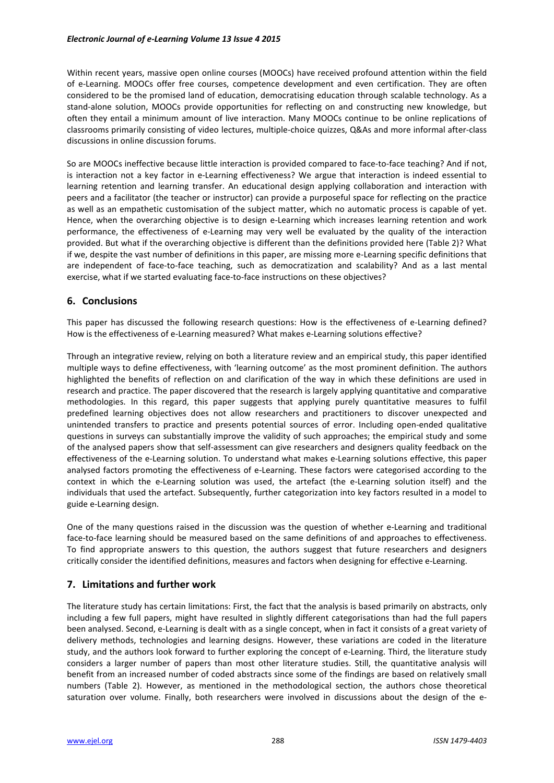Within recent years, massive open online courses (MOOCs) have received profound attention within the field of e-Learning. MOOCs offer free courses, competence development and even certification. They are often considered to be the promised land of education, democratising education through scalable technology. As a stand-alone solution, MOOCs provide opportunities for reflecting on and constructing new knowledge, but often they entail a minimum amount of live interaction. Many MOOCs continue to be online replications of classrooms primarily consisting of video lectures, multiple-choice quizzes, Q&As and more informal after-class discussions in online discussion forums.

So are MOOCs ineffective because little interaction is provided compared to face-to-face teaching? And if not, is interaction not a key factor in e-Learning effectiveness? We argue that interaction is indeed essential to learning retention and learning transfer. An educational design applying collaboration and interaction with peers and a facilitator (the teacher or instructor) can provide a purposeful space for reflecting on the practice as well as an empathetic customisation of the subject matter, which no automatic process is capable of yet. Hence, when the overarching objective is to design e-Learning which increases learning retention and work performance, the effectiveness of e-Learning may very well be evaluated by the quality of the interaction provided. But what if the overarching objective is different than the definitions provided here (Table 2)? What if we, despite the vast number of definitions in this paper, are missing more e-Learning specific definitions that are independent of face-to-face teaching, such as democratization and scalability? And as a last mental exercise, what if we started evaluating face-to-face instructions on these objectives?

# **6. Conclusions**

This paper has discussed the following research questions: How is the effectiveness of e-Learning defined? How is the effectiveness of e-Learning measured? What makes e-Learning solutions effective?

Through an integrative review, relying on both a literature review and an empirical study, this paper identified multiple ways to define effectiveness, with 'learning outcome' as the most prominent definition. The authors highlighted the benefits of reflection on and clarification of the way in which these definitions are used in research and practice. The paper discovered that the research is largely applying quantitative and comparative methodologies. In this regard, this paper suggests that applying purely quantitative measures to fulfil predefined learning objectives does not allow researchers and practitioners to discover unexpected and unintended transfers to practice and presents potential sources of error. Including open-ended qualitative questions in surveys can substantially improve the validity of such approaches; the empirical study and some of the analysed papers show that self-assessment can give researchers and designers quality feedback on the effectiveness of the e-Learning solution. To understand what makes e-Learning solutions effective, this paper analysed factors promoting the effectiveness of e-Learning. These factors were categorised according to the context in which the e-Learning solution was used, the artefact (the e-Learning solution itself) and the individuals that used the artefact. Subsequently, further categorization into key factors resulted in a model to guide e-Learning design.

One of the many questions raised in the discussion was the question of whether e-Learning and traditional face-to-face learning should be measured based on the same definitions of and approaches to effectiveness. To find appropriate answers to this question, the authors suggest that future researchers and designers critically consider the identified definitions, measures and factors when designing for effective e-Learning.

# **7. Limitations and further work**

The literature study has certain limitations: First, the fact that the analysis is based primarily on abstracts, only including a few full papers, might have resulted in slightly different categorisations than had the full papers been analysed. Second, e-Learning is dealt with as a single concept, when in fact it consists of a great variety of delivery methods, technologies and learning designs. However, these variations are coded in the literature study, and the authors look forward to further exploring the concept of e-Learning. Third, the literature study considers a larger number of papers than most other literature studies. Still, the quantitative analysis will benefit from an increased number of coded abstracts since some of the findings are based on relatively small numbers (Table 2). However, as mentioned in the methodological section, the authors chose theoretical saturation over volume. Finally, both researchers were involved in discussions about the design of the e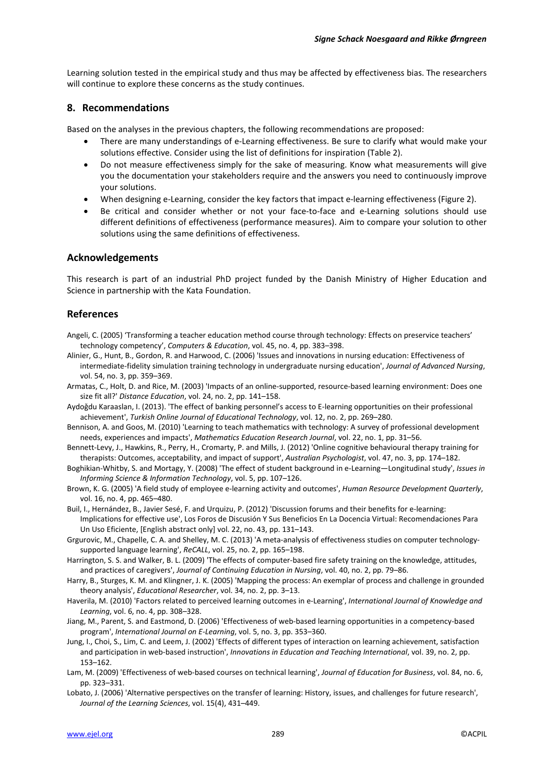Learning solution tested in the empirical study and thus may be affected by effectiveness bias. The researchers will continue to explore these concerns as the study continues.

#### **8. Recommendations**

Based on the analyses in the previous chapters, the following recommendations are proposed:

- There are many understandings of e-Learning effectiveness. Be sure to clarify what would make your solutions effective. Consider using the list of definitions for inspiration (Table 2).
- Do not measure effectiveness simply for the sake of measuring. Know what measurements will give you the documentation your stakeholders require and the answers you need to continuously improve your solutions.
- When designing e-Learning, consider the key factors that impact e-learning effectiveness (Figure 2).
- Be critical and consider whether or not your face-to-face and e-Learning solutions should use different definitions of effectiveness (performance measures). Aim to compare your solution to other solutions using the same definitions of effectiveness.

#### **Acknowledgements**

This research is part of an industrial PhD project funded by the Danish Ministry of Higher Education and Science in partnership with the Kata Foundation.

### **References**

- Angeli, C. (2005) 'Transforming a teacher education method course through technology: Effects on preservice teachers' technology competency', *Computers & Education*, vol. 45, no. 4, pp. 383–398.
- Alinier, G., Hunt, B., Gordon, R. and Harwood, C. (2006) 'Issues and innovations in nursing education: Effectiveness of intermediate-fidelity simulation training technology in undergraduate nursing education', *Journal of Advanced Nursing*, vol. 54, no. 3, pp. 359–369.
- Armatas, C., Holt, D. and Rice, M. (2003) 'Impacts of an online-supported, resource-based learning environment: Does one size fit all?' *Distance Education*, vol. 24, no. 2, pp. 141–158.
- Aydoğdu Karaaslan, I. (2013). 'The effect of banking personnel's access to E-learning opportunities on their professional achievement', *Turkish Online Journal of Educational Technology*, vol. 12, no. 2, pp. 269–280.
- Bennison, A. and Goos, M. (2010) 'Learning to teach mathematics with technology: A survey of professional development needs, experiences and impacts', *Mathematics Education Research Journal*, vol. 22, no. 1, pp. 31–56.
- Bennett-Levy, J., Hawkins, R., Perry, H., Cromarty, P. and Mills, J. (2012) 'Online cognitive behavioural therapy training for therapists: Outcomes, acceptability, and impact of support', *Australian Psychologist*, vol. 47, no. 3, pp. 174–182.
- Boghikian-Whitby, S. and Mortagy, Y. (2008) 'The effect of student background in e-Learning—Longitudinal study', *Issues in Informing Science & Information Technology*, vol. 5, pp. 107–126.
- Brown, K. G. (2005) 'A field study of employee e-learning activity and outcomes', *Human Resource Development Quarterly*, vol. 16, no. 4, pp. 465–480.
- Buil, I., Hernández, B., Javier Sesé, F. and Urquizu, P. (2012) 'Discussion forums and their benefits for e-learning: Implications for effective use', Los Foros de Discusión Y Sus Beneficios En La Docencia Virtual: Recomendaciones Para Un Uso Eficiente, [English abstract only] vol. 22, no. 43, pp. 131–143.
- Grgurovic, M., Chapelle, C. A. and Shelley, M. C. (2013) 'A meta-analysis of effectiveness studies on computer technologysupported language learning', *ReCALL*, vol. 25, no. 2, pp. 165–198.
- Harrington, S. S. and Walker, B. L. (2009) 'The effects of computer-based fire safety training on the knowledge, attitudes, and practices of caregivers', *Journal of Continuing Education in Nursing*, vol. 40, no. 2, pp. 79–86.
- Harry, B., Sturges, K. M. and Klingner, J. K. (2005) 'Mapping the process: An exemplar of process and challenge in grounded theory analysis', *Educational Researcher*, vol. 34, no. 2, pp. 3–13.
- Haverila, M. (2010) 'Factors related to perceived learning outcomes in e-Learning', *International Journal of Knowledge and Learning*, vol. 6, no. 4, pp. 308–328.
- Jiang, M., Parent, S. and Eastmond, D. (2006) 'Effectiveness of web-based learning opportunities in a competency-based program', *International Journal on E-Learning*, vol. 5, no. 3, pp. 353–360.
- Jung, I., Choi, S., Lim, C. and Leem, J. (2002) 'Effects of different types of interaction on learning achievement, satisfaction and participation in web-based instruction', *Innovations in Education and Teaching International*, vol. 39, no. 2, pp. 153–162.
- Lam, M. (2009) 'Effectiveness of web-based courses on technical learning', *Journal of Education for Business*, vol. 84, no. 6, pp. 323–331.
- Lobato, J. (2006) 'Alternative perspectives on the transfer of learning: History, issues, and challenges for future research', *Journal of the Learning Sciences*, vol. 15(4), 431–449.